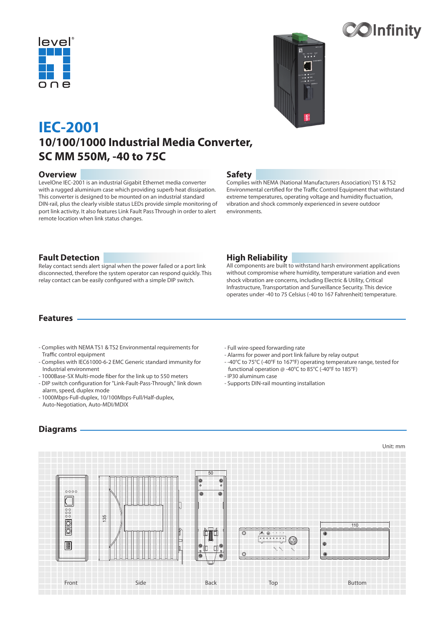



# **10/100/1000 Industrial Media Converter, SC MM 550M, -40 to 75C IEC-2001**

#### **Overview**

LevelOne IEC-2001 is an industrial Gigabit Ethernet media converter with a rugged aluminium case which providing superb heat dissipation. This converter is designed to be mounted on an industrial standard DIN-rail, plus the clearly visible status LEDs provide simple monitoring of port link activity. It also features Link Fault Pass Through in order to alert remote location when link status changes.

### **Safety**

Complies with NEMA (National Manufacturers Association) TS1 & TS2 Environmental certified for the Traffic Control Equipment that withstand extreme temperatures, operating voltage and humidity fluctuation, vibration and shock commonly experienced in severe outdoor environments.

### **Fault Detection**

Relay contact sends alert signal when the power failed or a port link disconnected, therefore the system operator can respond quickly. This relay contact can be easily configured with a simple DIP switch.

### **High Reliability**

All components are built to withstand harsh environment applications without compromise where humidity, temperature variation and even shock vibration are concerns, including Electric & Utility, Critical Infrastructure, Transportation and Surveillance Security. This device operates under -40 to 75 Celsius (-40 to 167 Fahrenheit) temperature.

### **Features**

- Complies with NEMA TS1 & TS2 Environmental requirements for Traffic control equipment
- Complies with IEC61000-6-2 EMC Generic standard immunity for Industrial environment
- 1000Base-SX Multi-mode fiber for the link up to 550 meters
- DIP switch configuration for "Link-Fault-Pass-Through," link down alarm, speed, duplex mode
- 1000Mbps-Full-duplex, 10/100Mbps-Full/Half-duplex, Auto-Negotiation, Auto-MDI/MDIX

## **Diagrams**

- Full wire-speed forwarding rate

- Alarms for power and port link failure by relay output
- -40°C to 75°C (-40°F to 167°F) operating temperature range, tested for functional operation @ -40°C to 85°C (-40°F to 185°F)
- IP30 aluminum case
- Supports DIN-rail mounting installation



Unit: mm

**Colnfinity**